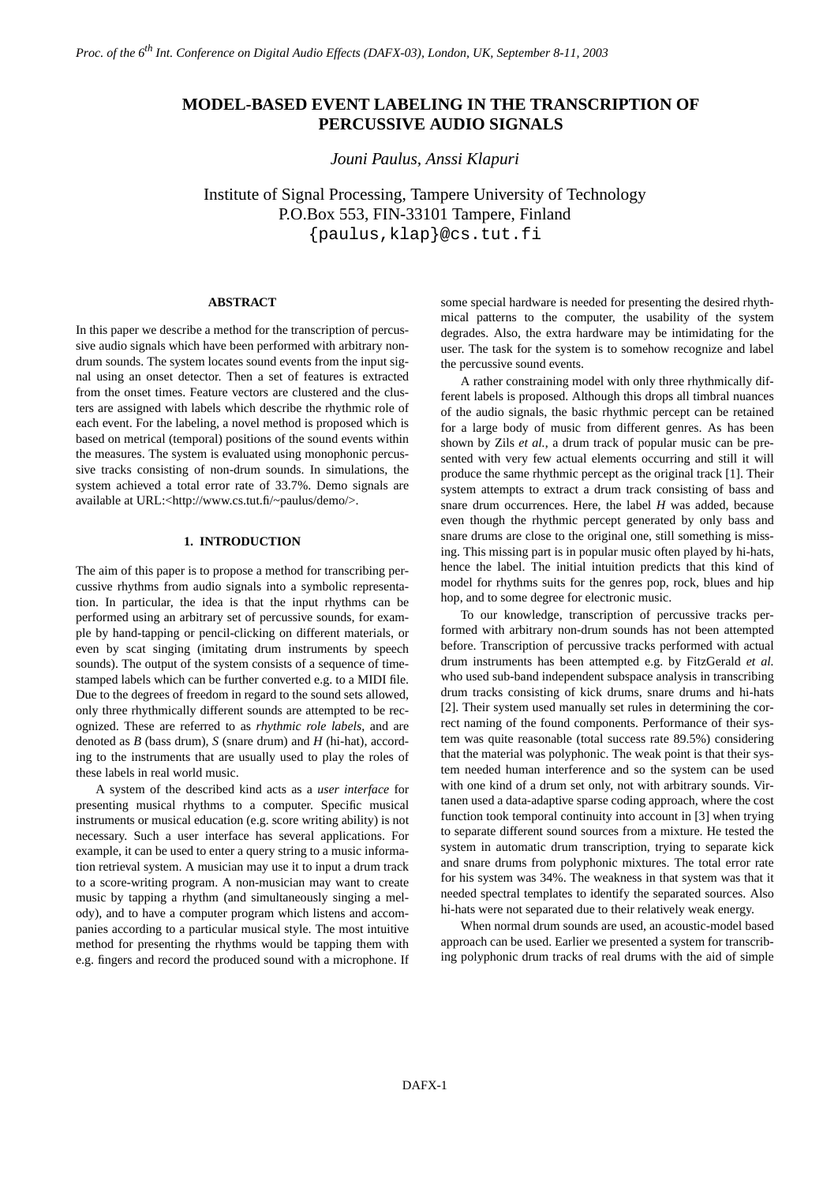# **MODEL-BASED EVENT LABELING IN THE TRANSCRIPTION OF PERCUSSIVE AUDIO SIGNALS**

*Jouni Paulus, Anssi Klapuri*

Institute of Signal Processing, Tampere University of Technology P.O.Box 553, FIN-33101 Tampere, Finland {paulus,klap}@cs.tut.fi

# **ABSTRACT**

In this paper we describe a method for the transcription of percussive audio signals which have been performed with arbitrary nondrum sounds. The system locates sound events from the input signal using an onset detector. Then a set of features is extracted from the onset times. Feature vectors are clustered and the clusters are assigned with labels which describe the rhythmic role of each event. For the labeling, a novel method is proposed which is based on metrical (temporal) positions of the sound events within the measures. The system is evaluated using monophonic percussive tracks consisting of non-drum sounds. In simulations, the system achieved a total error rate of 33.7%. Demo signals are available at URL:<http://www.cs.tut.fi/~paulus/demo/>.

# **1. INTRODUCTION**

The aim of this paper is to propose a method for transcribing percussive rhythms from audio signals into a symbolic representation. In particular, the idea is that the input rhythms can be performed using an arbitrary set of percussive sounds, for example by hand-tapping or pencil-clicking on different materials, or even by scat singing (imitating drum instruments by speech sounds). The output of the system consists of a sequence of timestamped labels which can be further converted e.g. to a MIDI file. Due to the degrees of freedom in regard to the sound sets allowed, only three rhythmically different sounds are attempted to be recognized. These are referred to as *rhythmic role labels*, and are denoted as *B* (bass drum), *S* (snare drum) and *H* (hi-hat), according to the instruments that are usually used to play the roles of these labels in real world music.

A system of the described kind acts as a *user interface* for presenting musical rhythms to a computer. Specific musical instruments or musical education (e.g. score writing ability) is not necessary. Such a user interface has several applications. For example, it can be used to enter a query string to a music information retrieval system. A musician may use it to input a drum track to a score-writing program. A non-musician may want to create music by tapping a rhythm (and simultaneously singing a melody), and to have a computer program which listens and accompanies according to a particular musical style. The most intuitive method for presenting the rhythms would be tapping them with e.g. fingers and record the produced sound with a microphone. If

some special hardware is needed for presenting the desired rhythmical patterns to the computer, the usability of the system degrades. Also, the extra hardware may be intimidating for the user. The task for the system is to somehow recognize and label the percussive sound events.

A rather constraining model with only three rhythmically different labels is proposed. Although this drops all timbral nuances of the audio signals, the basic rhythmic percept can be retained for a large body of music from different genres. As has been shown by Zils *et al.*, a drum track of popular music can be presented with very few actual elements occurring and still it will produce the same rhythmic percept as the original track [\[1\].](#page-4-0) Their system attempts to extract a drum track consisting of bass and snare drum occurrences. Here, the label *H* was added, because even though the rhythmic percept generated by only bass and snare drums are close to the original one, still something is missing. This missing part is in popular music often played by hi-hats, hence the label. The initial intuition predicts that this kind of model for rhythms suits for the genres pop, rock, blues and hip hop, and to some degree for electronic music.

To our knowledge, transcription of percussive tracks performed with arbitrary non-drum sounds has not been attempted before. Transcription of percussive tracks performed with actual drum instruments has been attempted e.g. by FitzGerald *et al.* who used sub-band independent subspace analysis in transcribing drum tracks consisting of kick drums, snare drums and hi-hats [\[2\].](#page-4-1) Their system used manually set rules in determining the correct naming of the found components. Performance of their system was quite reasonable (total success rate 89.5%) considering that the material was polyphonic. The weak point is that their system needed human interference and so the system can be used with one kind of a drum set only, not with arbitrary sounds. Virtanen used a data-adaptive sparse coding approach, where the cost function took temporal continuity into account in [\[3\]](#page-4-2) when trying to separate different sound sources from a mixture. He tested the system in automatic drum transcription, trying to separate kick and snare drums from polyphonic mixtures. The total error rate for his system was 34%. The weakness in that system was that it needed spectral templates to identify the separated sources. Also hi-hats were not separated due to their relatively weak energy.

When normal drum sounds are used, an acoustic-model based approach can be used. Earlier we presented a system for transcribing polyphonic drum tracks of real drums with the aid of simple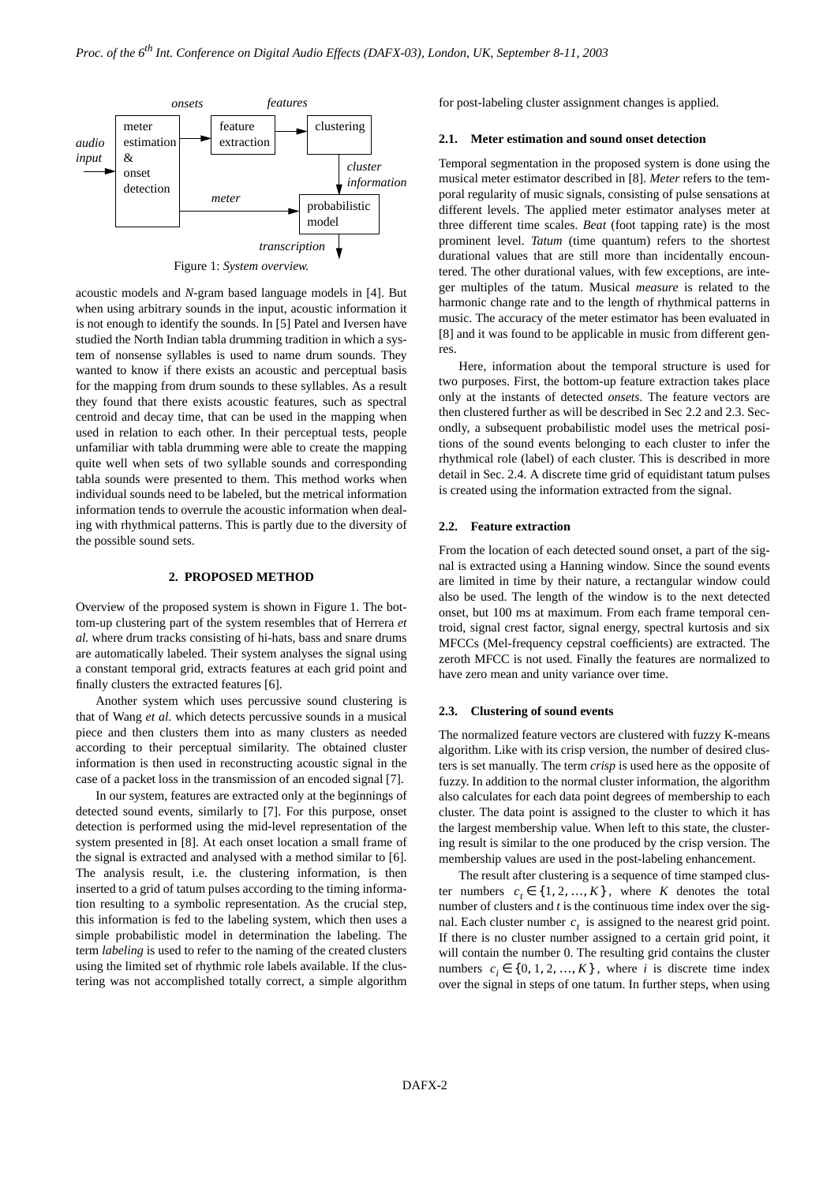

Figure 1: *System overview.*

<span id="page-1-0"></span>acoustic models and *N*-gram based language models in [\[4\].](#page-4-7) But when using arbitrary sounds in the input, acoustic information it is not enough to identify the sounds. In [\[5\]](#page-4-6) Patel and Iversen have studied the North Indian tabla drumming tradition in which a system of nonsense syllables is used to name drum sounds. They wanted to know if there exists an acoustic and perceptual basis for the mapping from drum sounds to these syllables. As a result they found that there exists acoustic features, such as spectral centroid and decay time, that can be used in the mapping when used in relation to each other. In their perceptual tests, people unfamiliar with tabla drumming were able to create the mapping quite well when sets of two syllable sounds and corresponding tabla sounds were presented to them. This method works when individual sounds need to be labeled, but the metrical information information tends to overrule the acoustic information when dealing with rhythmical patterns. This is partly due to the diversity of the possible sound sets.

# **2. PROPOSED METHOD**

Overview of the proposed system is shown in [Figure](#page-1-0) 1. The bottom-up clustering part of the system resembles that of Herrera *et al.* where drum tracks consisting of hi-hats, bass and snare drums are automatically labeled. Their system analyses the signal using a constant temporal grid, extracts features at each grid point and finally clusters the extracted features [\[6\]](#page-4-3).

Another system which uses percussive sound clustering is that of Wang *et al.* which detects percussive sounds in a musical piece and then clusters them into as many clusters as needed according to their perceptual similarity. The obtained cluster information is then used in reconstructing acoustic signal in the case of a packet loss in the transmission of an encoded signal [\[7\].](#page-4-5)

In our system, features are extracted only at the beginnings of detected sound events, similarly to [\[7\].](#page-4-5) For this purpose, onset detection is performed using the mid-level representation of the system presented in [\[8\]](#page-4-4). At each onset location a small frame of the signal is extracted and analysed with a method similar to [\[6\].](#page-4-3) The analysis result, i.e. the clustering information, is then inserted to a grid of tatum pulses according to the timing information resulting to a symbolic representation. As the crucial step, this information is fed to the labeling system, which then uses a simple probabilistic model in determination the labeling. The term *labeling* is used to refer to the naming of the created clusters using the limited set of rhythmic role labels available. If the clustering was not accomplished totally correct, a simple algorithm for post-labeling cluster assignment changes is applied.

#### **2.1. Meter estimation and sound onset detection**

Temporal segmentation in the proposed system is done using the musical meter estimator described in [\[8\]](#page-4-4). *Meter* refers to the temporal regularity of music signals, consisting of pulse sensations at different levels. The applied meter estimator analyses meter at three different time scales. *Beat* (foot tapping rate) is the most prominent level. *Tatum* (time quantum) refers to the shortest durational values that are still more than incidentally encountered. The other durational values, with few exceptions, are integer multiples of the tatum. Musical *measure* is related to the harmonic change rate and to the length of rhythmical patterns in music. The accuracy of the meter estimator has been evaluated in [\[8\]](#page-4-4) and it was found to be applicable in music from different genres.

Here, information about the temporal structure is used for two purposes. First, the bottom-up feature extraction takes place only at the instants of detected *onsets*. The feature vectors are then clustered further as will be described in Sec 2.2 and 2.3. Secondly, a subsequent probabilistic model uses the metrical positions of the sound events belonging to each cluster to infer the rhythmical role (label) of each cluster. This is described in more detail in Sec. 2.4. A discrete time grid of equidistant tatum pulses is created using the information extracted from the signal.

#### **2.2. Feature extraction**

From the location of each detected sound onset, a part of the signal is extracted using a Hanning window. Since the sound events are limited in time by their nature, a rectangular window could also be used. The length of the window is to the next detected onset, but 100 ms at maximum. From each frame temporal centroid, signal crest factor, signal energy, spectral kurtosis and six MFCCs (Mel-frequency cepstral coefficients) are extracted. The zeroth MFCC is not used. Finally the features are normalized to have zero mean and unity variance over time.

#### **2.3. Clustering of sound events**

The normalized feature vectors are clustered with fuzzy K-means algorithm. Like with its crisp version, the number of desired clusters is set manually. The term *crisp* is used here as the opposite of fuzzy. In addition to the normal cluster information, the algorithm also calculates for each data point degrees of membership to each cluster. The data point is assigned to the cluster to which it has the largest membership value. When left to this state, the clustering result is similar to the one produced by the crisp version. The membership values are used in the post-labeling enhancement.

The result after clustering is a sequence of time stamped cluster numbers  $c_t \in \{1, 2, ..., K\}$ , where *K* denotes the total number of clusters and *t* is the continuous time index over the signal. Each cluster number  $c<sub>t</sub>$  is assigned to the nearest grid point. If there is no cluster number assigned to a certain grid point, it will contain the number 0. The resulting grid contains the cluster numbers  $c_i \in \{0, 1, 2, ..., K\}$ , where *i* is discrete time index over the signal in steps of one tatum. In further steps, when using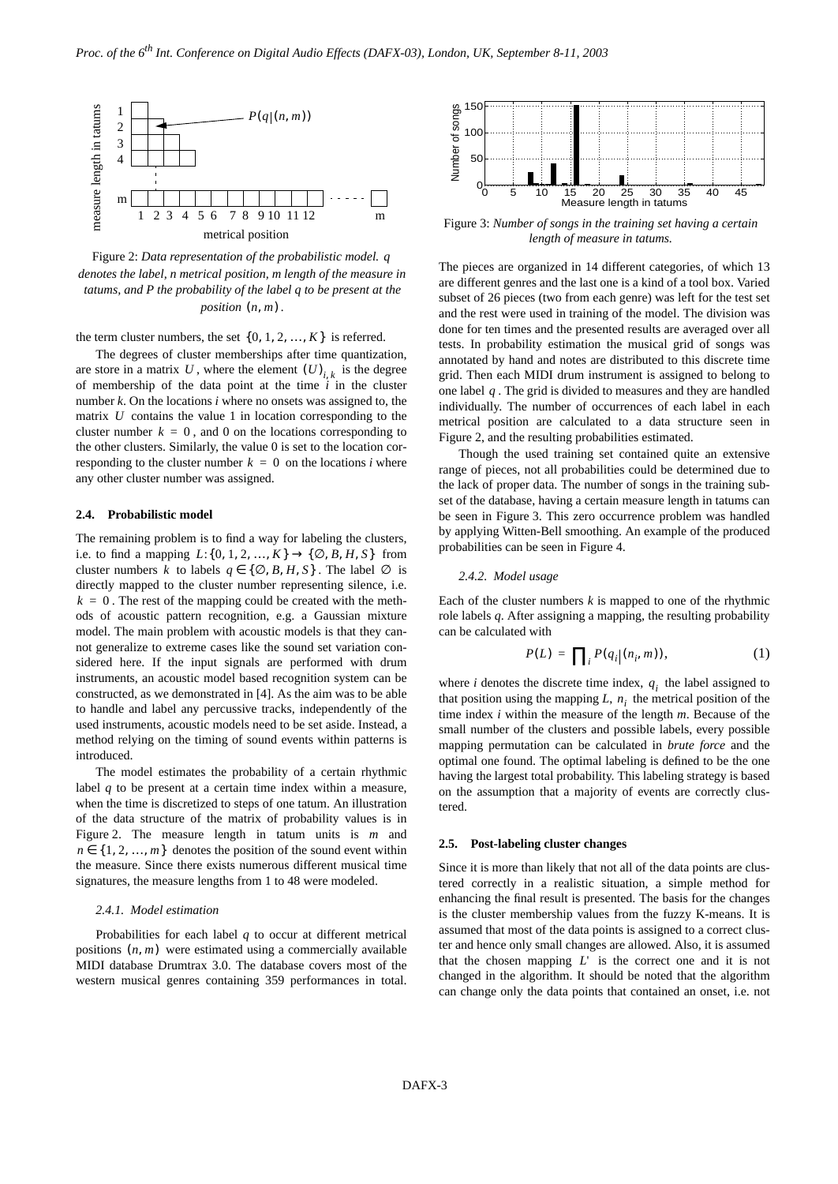

<span id="page-2-0"></span>Figure 2: *Data representation of the probabilistic model. q denotes the label, n metrical position, m length of the measure in tatums, and P the probability of the label q to be present at the position*  $(n, m)$ .

the term cluster numbers, the set  $\{0, 1, 2, ..., K\}$  is referred.

The degrees of cluster memberships after time quantization, are store in a matrix U, where the element  $(U)_{i,k}$  is the degree of membership of the data point at the time *i* in the cluster number *k*. On the locations *i* where no onsets was assigned to, the matrix  $U$  contains the value 1 in location corresponding to the cluster number  $k = 0$ , and 0 on the locations corresponding to the other clusters. Similarly, the value 0 is set to the location corresponding to the cluster number  $k = 0$  on the locations *i* where any other cluster number was assigned.

#### **2.4. Probabilistic model**

The remaining problem is to find a way for labeling the clusters, *i.e.* to find a mapping  $L: \{0, 1, 2, ..., K\} \to \{\emptyset, B, H, S\}$  from cluster numbers k to labels  $q \in \{ \emptyset, B, H, S \}$ . The label  $\emptyset$  is directly mapped to the cluster number representing silence, i.e.  $k = 0$ . The rest of the mapping could be created with the methods of acoustic pattern recognition, e.g. a Gaussian mixture model. The main problem with acoustic models is that they cannot generalize to extreme cases like the sound set variation considered here. If the input signals are performed with drum instruments, an acoustic model based recognition system can be constructed, as we demonstrated in [\[4\].](#page-4-7) As the aim was to be able to handle and label any percussive tracks, independently of the used instruments, acoustic models need to be set aside. Instead, a method relying on the timing of sound events within patterns is introduced.

The model estimates the probability of a certain rhythmic label *q* to be present at a certain time index within a measure, when the time is discretized to steps of one tatum. An illustration of the data structure of the matrix of probability values is in [Figure](#page-2-0) 2. The measure length in tatum units is *m* and  $n \in \{1, 2, ..., m\}$  denotes the position of the sound event within the measure. Since there exists numerous different musical time signatures, the measure lengths from 1 to 48 were modeled.

### *2.4.1. Model estimation*

Probabilities for each label *q* to occur at different metrical positions  $(n, m)$  were estimated using a commercially available MIDI database Drumtrax 3.0. The database covers most of the western musical genres containing 359 performances in total.



<span id="page-2-1"></span>Figure 3: *Number of songs in the training set having a certain length of measure in tatums.*

The pieces are organized in 14 different categories, of which 13 are different genres and the last one is a kind of a tool box. Varied subset of 26 pieces (two from each genre) was left for the test set and the rest were used in training of the model. The division was done for ten times and the presented results are averaged over all tests. In probability estimation the musical grid of songs was annotated by hand and notes are distributed to this discrete time grid. Then each MIDI drum instrument is assigned to belong to one label  $q$ . The grid is divided to measures and they are handled individually. The number of occurrences of each label in each metrical position are calculated to a data structure seen in [Figure](#page-2-0) 2, and the resulting probabilities estimated.

Though the used training set contained quite an extensive range of pieces, not all probabilities could be determined due to the lack of proper data. The number of songs in the training subset of the database, having a certain measure length in tatums can be seen in [Figure](#page-2-1) 3. This zero occurrence problem was handled by applying Witten-Bell smoothing. An example of the produced probabilities can be seen in [Figure](#page-3-0) 4.

#### *2.4.2. Model usage*

<span id="page-2-2"></span>Each of the cluster numbers  $k$  is mapped to one of the rhythmic role labels *q*. After assigning a mapping, the resulting probability can be calculated with

$$
P(L) = \prod_{i} P(q_i | (n_i, m)), \qquad (1)
$$

where *i* denotes the discrete time index,  $q_i$  the label assigned to that position using the mapping  $L$ ,  $n_i$  the metrical position of the time index *i* within the measure of the length *m*. Because of the small number of the clusters and possible labels, every possible mapping permutation can be calculated in *brute force* and the optimal one found. The optimal labeling is defined to be the one having the largest total probability. This labeling strategy is based on the assumption that a majority of events are correctly clustered.

### **2.5. Post-labeling cluster changes**

Since it is more than likely that not all of the data points are clustered correctly in a realistic situation, a simple method for enhancing the final result is presented. The basis for the changes is the cluster membership values from the fuzzy K-means. It is assumed that most of the data points is assigned to a correct cluster and hence only small changes are allowed. Also, it is assumed that the chosen mapping  $L'$  is the correct one and it is not changed in the algorithm. It should be noted that the algorithm can change only the data points that contained an onset, i.e. not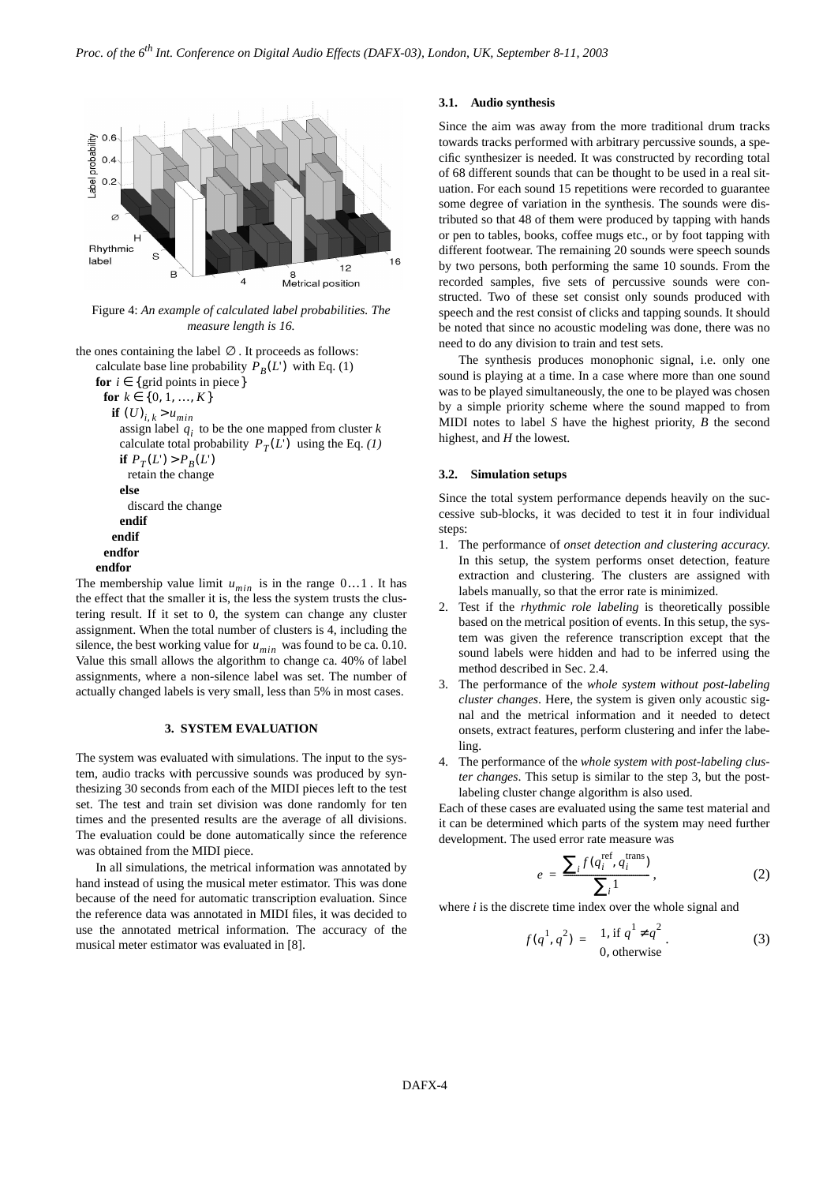

<span id="page-3-0"></span>Figure 4: *An example of calculated label probabilities. The measure length is 16.*

the ones containing the label  $\varnothing$ . It proceeds as follows: calculate base line probability  $P_B(L')$  with Eq. [\(1\)](#page-2-2) **for**  $i \in \{ \text{grid points in piece} \}$ 

```
for k \in \{0, 1, ..., K\}if (U)_{i,k} > u_{min}assign label q_i to be the one mapped from cluster kcalculate total probability P_T(L')(1)
     if P_T(L') > P_B(L')retain the change
    else
      discard the change
    endif
   endif
 endfor
endfor
```
The membership value limit  $u_{min}$  is in the range  $0...1$ . It has the effect that the smaller it is, the less the system trusts the clustering result. If it set to 0, the system can change any cluster assignment. When the total number of clusters is 4, including the silence, the best working value for  $u_{min}$  was found to be ca. 0.10. Value this small allows the algorithm to change ca. 40% of label assignments, where a non-silence label was set. The number of actually changed labels is very small, less than 5% in most cases.

## **3. SYSTEM EVALUATION**

The system was evaluated with simulations. The input to the system, audio tracks with percussive sounds was produced by synthesizing 30 seconds from each of the MIDI pieces left to the test set. The test and train set division was done randomly for ten times and the presented results are the average of all divisions. The evaluation could be done automatically since the reference was obtained from the MIDI piece.

In all simulations, the metrical information was annotated by hand instead of using the musical meter estimator. This was done because of the need for automatic transcription evaluation. Since the reference data was annotated in MIDI files, it was decided to use the annotated metrical information. The accuracy of the musical meter estimator was evaluated in [\[8\].](#page-4-4)

#### **3.1. Audio synthesis**

Since the aim was away from the more traditional drum tracks towards tracks performed with arbitrary percussive sounds, a specific synthesizer is needed. It was constructed by recording total of 68 different sounds that can be thought to be used in a real situation. For each sound 15 repetitions were recorded to guarantee some degree of variation in the synthesis. The sounds were distributed so that 48 of them were produced by tapping with hands or pen to tables, books, coffee mugs etc., or by foot tapping with different footwear. The remaining 20 sounds were speech sounds by two persons, both performing the same 10 sounds. From the recorded samples, five sets of percussive sounds were constructed. Two of these set consist only sounds produced with speech and the rest consist of clicks and tapping sounds. It should be noted that since no acoustic modeling was done, there was no need to do any division to train and test sets.

The synthesis produces monophonic signal, i.e. only one sound is playing at a time. In a case where more than one sound was to be played simultaneously, the one to be played was chosen by a simple priority scheme where the sound mapped to from MIDI notes to label *S* have the highest priority, *B* the second highest, and *H* the lowest.

#### **3.2. Simulation setups**

Since the total system performance depends heavily on the successive sub-blocks, it was decided to test it in four individual steps:

- 1. The performance of *onset detection and clustering accuracy*. In this setup, the system performs onset detection, feature extraction and clustering. The clusters are assigned with labels manually, so that the error rate is minimized.
- 2. Test if the *rhythmic role labeling* is theoretically possible based on the metrical position of events. In this setup, the system was given the reference transcription except that the sound labels were hidden and had to be inferred using the method described in Sec. 2.4.
- 3. The performance of the *whole system without post-labeling cluster changes*. Here, the system is given only acoustic signal and the metrical information and it needed to detect onsets, extract features, perform clustering and infer the labeling.
- 4. The performance of the *whole system with post-labeling cluster changes*. This setup is similar to the step 3, but the postlabeling cluster change algorithm is also used.

Each of these cases are evaluated using the same test material and it can be determined which parts of the system may need further development. The used error rate measure was

$$
e = \frac{\sum_{i} f(q_i^{\text{ref}}, q_i^{\text{trans}})}{\sum_{i} 1},
$$
 (2)

where *i* is the discrete time index over the whole signal and

$$
f(q^1, q^2) = \begin{cases} 1, & \text{if } q^1 \neq q^2 \\ 0, & \text{otherwise} \end{cases}
$$
 (3)